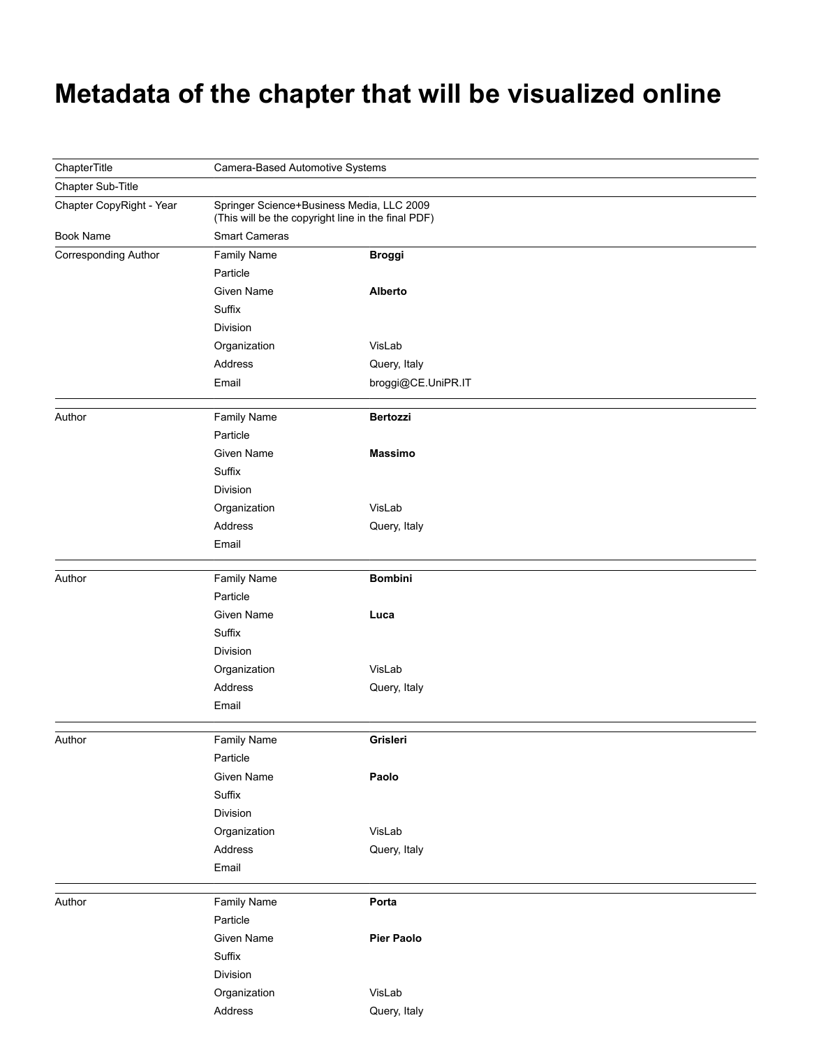# **Metadata of the chapter that will be visualized online**

| ChapterTitle             | Camera-Based Automotive Systems           |                                                    |  |
|--------------------------|-------------------------------------------|----------------------------------------------------|--|
| Chapter Sub-Title        |                                           |                                                    |  |
| Chapter CopyRight - Year | Springer Science+Business Media, LLC 2009 | (This will be the copyright line in the final PDF) |  |
| <b>Book Name</b>         | Smart Cameras                             |                                                    |  |
| Corresponding Author     | Family Name                               | <b>Broggi</b>                                      |  |
|                          | Particle                                  |                                                    |  |
|                          | <b>Given Name</b>                         | Alberto                                            |  |
|                          | Suffix                                    |                                                    |  |
|                          | Division                                  |                                                    |  |
|                          | Organization                              | VisLab                                             |  |
|                          | Address                                   | Query, Italy                                       |  |
|                          | Email                                     | broggi@CE.UniPR.IT                                 |  |
| Author                   | Family Name                               | Bertozzi                                           |  |
|                          | Particle                                  |                                                    |  |
|                          | Given Name                                | <b>Massimo</b>                                     |  |
|                          | Suffix                                    |                                                    |  |
|                          | Division                                  |                                                    |  |
|                          | Organization                              | VisLab                                             |  |
|                          | Address                                   | Query, Italy                                       |  |
|                          | Email                                     |                                                    |  |
| Author                   | <b>Family Name</b>                        | <b>Bombini</b>                                     |  |
|                          | Particle                                  |                                                    |  |
|                          | Given Name                                | Luca                                               |  |
|                          | Suffix                                    |                                                    |  |
|                          | Division                                  |                                                    |  |
|                          | Organization                              | VisLab                                             |  |
|                          | Address                                   | Query, Italy                                       |  |
|                          | Email                                     |                                                    |  |
| Author                   | Family Name                               | Grisleri                                           |  |
|                          | Particle                                  |                                                    |  |
|                          | Given Name                                | Paolo                                              |  |
|                          | Suffix                                    |                                                    |  |
|                          | Division                                  |                                                    |  |
|                          | Organization                              | VisLab                                             |  |
|                          | Address                                   | Query, Italy                                       |  |
|                          | Email                                     |                                                    |  |
| Author                   | Family Name                               | Porta                                              |  |
|                          | Particle                                  |                                                    |  |
|                          | Given Name                                | <b>Pier Paolo</b>                                  |  |
|                          | Suffix                                    |                                                    |  |
|                          | Division                                  |                                                    |  |
|                          | Organization                              | VisLab                                             |  |
|                          | Address                                   | Query, Italy                                       |  |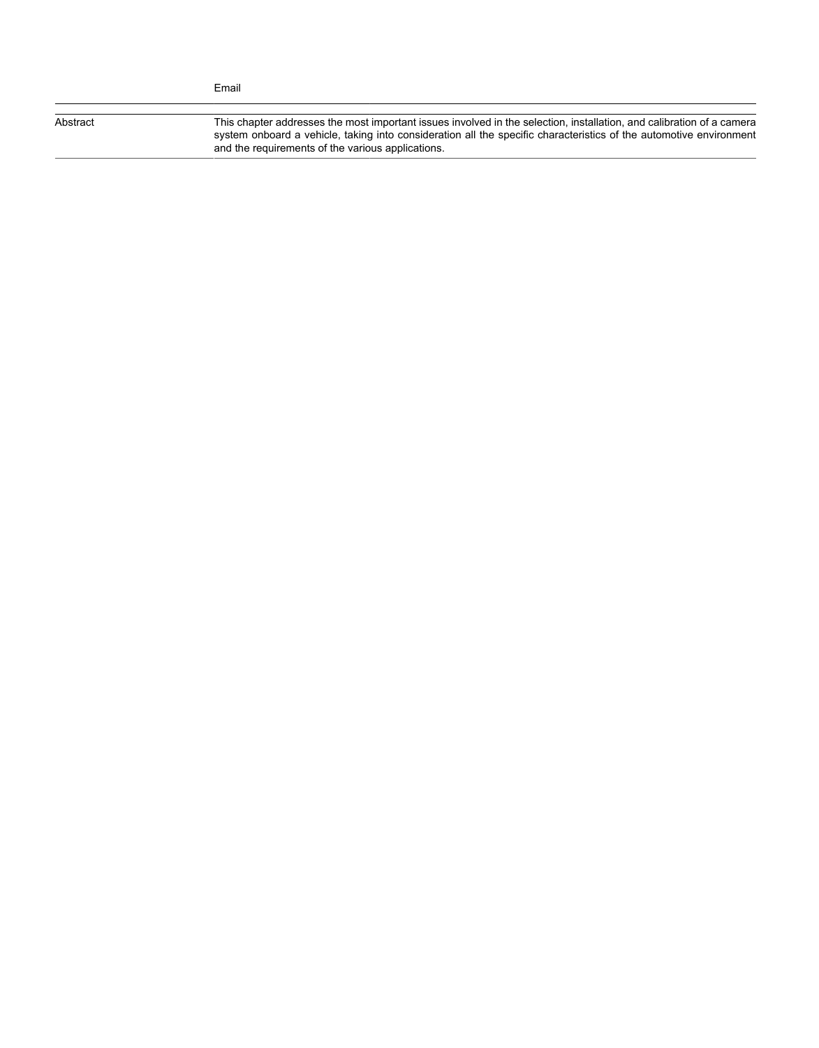|          | Email                                                                                                                                                                                                                                                                                            |
|----------|--------------------------------------------------------------------------------------------------------------------------------------------------------------------------------------------------------------------------------------------------------------------------------------------------|
| Abstract | This chapter addresses the most important issues involved in the selection, installation, and calibration of a camera<br>system onboard a vehicle, taking into consideration all the specific characteristics of the automotive environment<br>and the requirements of the various applications. |
|          |                                                                                                                                                                                                                                                                                                  |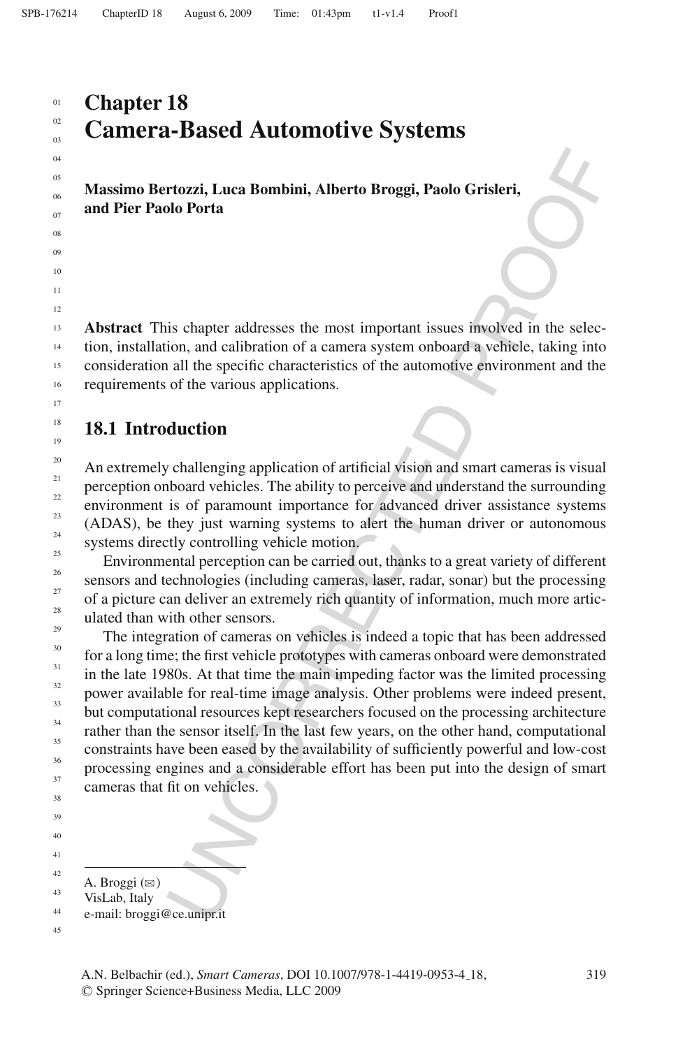> 17 18 19

#### 01  $02$ 03 **Chapter 18 Camera-Based Automotive Systems**

**Massimo Bertozzi, Luca Bombini, Alberto Broggi, Paolo Grisleri, and Pier Paolo Porta**

13 14 15 16 **Abstract** This chapter addresses the most important issues involved in the selection, installation, and calibration of a camera system onboard a vehicle, taking into consideration all the specific characteristics of the automotive environment and the requirements of the various applications.

## **18.1 Introduction**

 $20$ 21  $22$  $2<sup>3</sup>$ 24  $25$ An extremely challenging application of artificial vision and smart cameras is visual perception onboard vehicles. The ability to perceive and understand the surrounding environment is of paramount importance for advanced driver assistance systems (ADAS), be they just warning systems to alert the human driver or autonomous systems directly controlling vehicle motion.

26  $27$  $28$ 29 Environmental perception can be carried out, thanks to a great variety of different sensors and technologies (including cameras, laser, radar, sonar) but the processing of a picture can deliver an extremely rich quantity of information, much more articulated than with other sensors.

Trozzi, Luca Bombini, Alberto Broggi, Paolo Grisleri,<br>
is chapter addresses the most important issues involved in the selec-<br>
ion, and calibration of a camera system onboard a vehicle, taking into<br>
all the specific charact 30 31 32 33 34 35 36 37 38 The integration of cameras on vehicles is indeed a topic that has been addressed for a long time; the first vehicle prototypes with cameras onboard were demonstrated in the late 1980s. At that time the main impeding factor was the limited processing power available for real-time image analysis. Other problems were indeed present, but computational resources kept researchers focused on the processing architecture rather than the sensor itself. In the last few years, on the other hand, computational constraints have been eased by the availability of sufficiently powerful and low-cost processing engines and a considerable effort has been put into the design of smart cameras that fit on vehicles.

- 39 40 41
- 42 A. Broggi  $(\boxtimes)$
- 43 VisLab, Italy
- 44 45 e-mail: broggi@ce.unipr.it
	- A.N. Belbachir (ed.), *Smart Cameras*, DOI 10.1007/978-1-4419-0953-4 18, -C Springer Science+Business Media, LLC 2009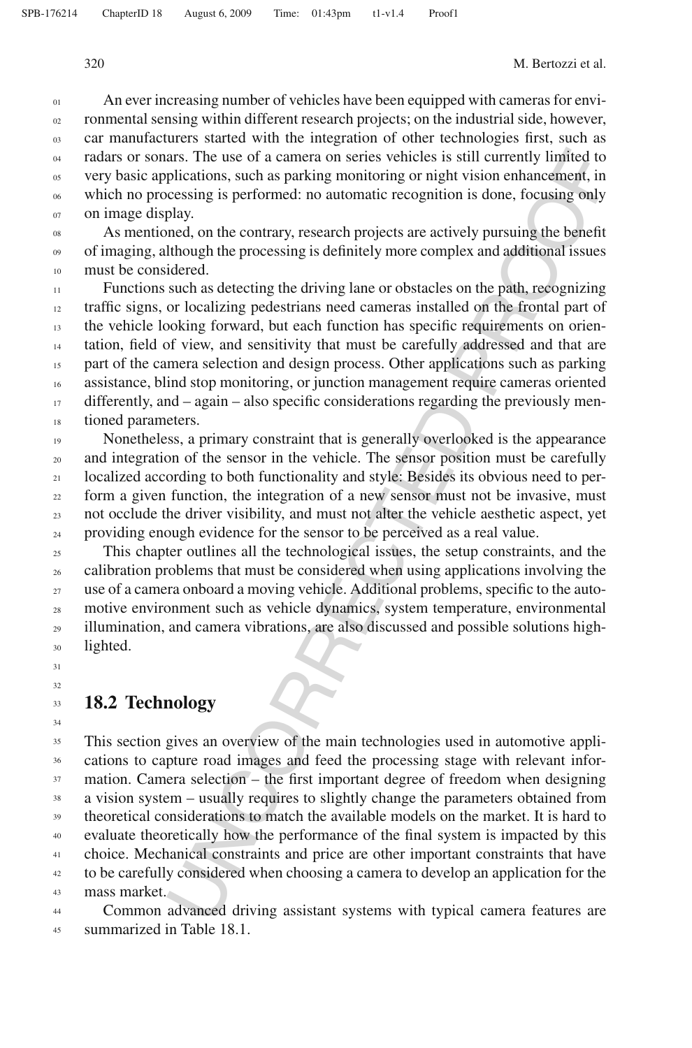$01$  $02$ 03 04 05 06  $07$ An ever increasing number of vehicles have been equipped with cameras for environmental sensing within different research projects; on the industrial side, however, car manufacturers started with the integration of other technologies first, such as radars or sonars. The use of a camera on series vehicles is still currently limited to very basic applications, such as parking monitoring or night vision enhancement, in which no processing is performed: no automatic recognition is done, focusing only on image display.

08 09 10 As mentioned, on the contrary, research projects are actively pursuing the benefit of imaging, although the processing is definitely more complex and additional issues must be considered.

11 12 13 14 15 16 17 18 Functions such as detecting the driving lane or obstacles on the path, recognizing traffic signs, or localizing pedestrians need cameras installed on the frontal part of the vehicle looking forward, but each function has specific requirements on orientation, field of view, and sensitivity that must be carefully addressed and that are part of the camera selection and design process. Other applications such as parking assistance, blind stop monitoring, or junction management require cameras oriented differently, and – again – also specific considerations regarding the previously mentioned parameters.

19  $20$ 21 22 23 24 Nonetheless, a primary constraint that is generally overlooked is the appearance and integration of the sensor in the vehicle. The sensor position must be carefully localized according to both functionality and style: Besides its obvious need to perform a given function, the integration of a new sensor must not be invasive, must not occlude the driver visibility, and must not alter the vehicle aesthetic aspect, yet providing enough evidence for the sensor to be perceived as a real value.

 $25$ 26 27 28 29 30 This chapter outlines all the technological issues, the setup constraints, and the calibration problems that must be considered when using applications involving the use of a camera onboard a moving vehicle. Additional problems, specific to the automotive environment such as vehicle dynamics, system temperature, environmental illumination, and camera vibrations, are also discussed and possible solutions highlighted.

31 32

## **18.2 Technology**

33 34

ars. The use of a camera on series vehicles is still currently limited to<br>plications, such as parking momitoring or might vision chancedpecti, in<br>easing is performed. To automatic recognition is done, focusing only<br>play,<br>a 35 36 37 38 39 40 41 42 43 This section gives an overview of the main technologies used in automotive applications to capture road images and feed the processing stage with relevant information. Camera selection – the first important degree of freedom when designing a vision system – usually requires to slightly change the parameters obtained from theoretical considerations to match the available models on the market. It is hard to evaluate theoretically how the performance of the final system is impacted by this choice. Mechanical constraints and price are other important constraints that have to be carefully considered when choosing a camera to develop an application for the mass market.

44 45 Common advanced driving assistant systems with typical camera features are summarized in Table [18.1.](#page-4-0)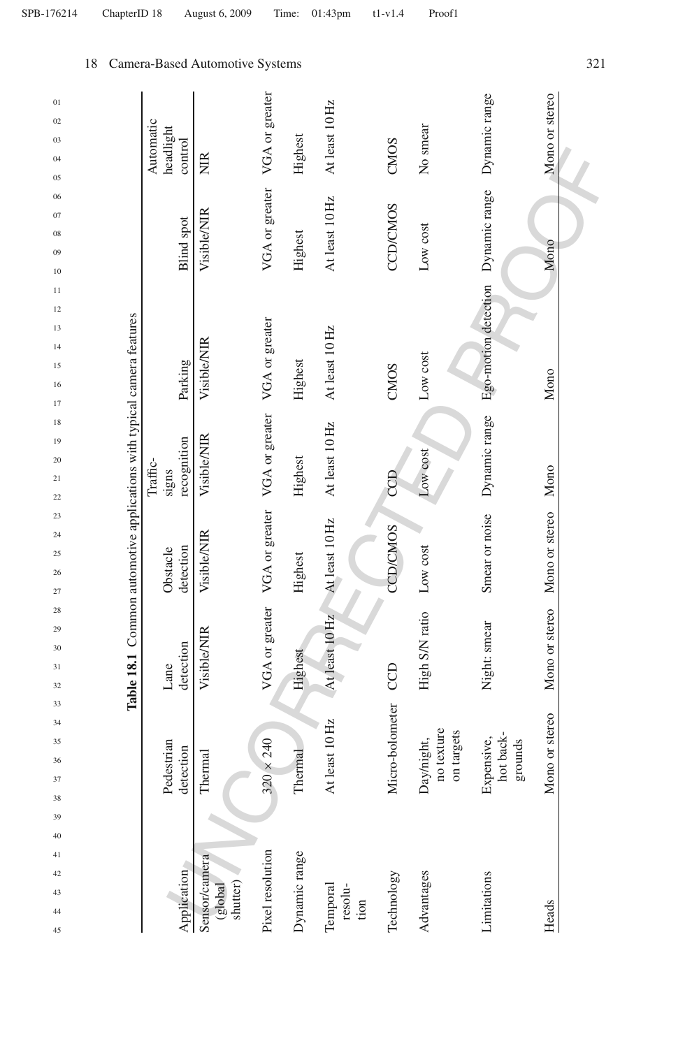<span id="page-4-0"></span>

|                                              |                                        | Table 18.1 Common automotive applications with typical camera features |                       |                                  |                                    |                   |                                   |
|----------------------------------------------|----------------------------------------|------------------------------------------------------------------------|-----------------------|----------------------------------|------------------------------------|-------------------|-----------------------------------|
| Application                                  | Pedestrian<br>detection                | detection<br>Lane                                                      | detection<br>Obstacle | recognition<br>Traffic-<br>signs | Parking                            | <b>Blind</b> spot | Automatic<br>headlight<br>control |
| Sensor/camera<br>(global<br>shutter)         | Thermal                                | Visible/NIR                                                            | Visible/NIR           | Visible/NIR                      | Visible/NIR                        | Visible/NIR       | NIK                               |
| Pixel resolution                             | $320\times240$                         | VGA or greater                                                         | VGA or greater        | VGA or greater                   | VGA or greater                     | VGA or greater    | VGA or greater                    |
| Dynamic range                                | Thermal                                | Highest                                                                | Highest               | Highest                          | Highest                            | Highest           | Highest                           |
| Temporal<br>resolu-<br>$\operatorname{tion}$ | At least 10 Hz                         | At least 10 Hz                                                         | At least 10 Hz        | At least 10 Hz                   | At least 10 Hz                     | At least 10 Hz    | At least 10 Hz                    |
| Technology                                   | Micro-bolometer                        | CCD                                                                    | CCD/CMOS              | CCD                              | CMOS                               | <b>CCD/CMOS</b>   | CMOS                              |
| Advantages                                   | no texture<br>on targets<br>Day/night, | High S/N ratio                                                         | Low cost              | Low cost                         | Low cost                           | Low cost          | No smear                          |
| Limitations                                  | hot back-<br>Expensive,<br>grounds     | Night: smear                                                           | Smear or noise        | Dynamic range                    | Ego-motion detection Dynamic range |                   | Dynamic range                     |
| Heads                                        | Mono or stereo                         | Mono or stereo                                                         | Mono or stereo        | Mono                             | Mono                               | Mono              | Mono or stereo                    |
|                                              |                                        |                                                                        |                       |                                  |                                    |                   |                                   |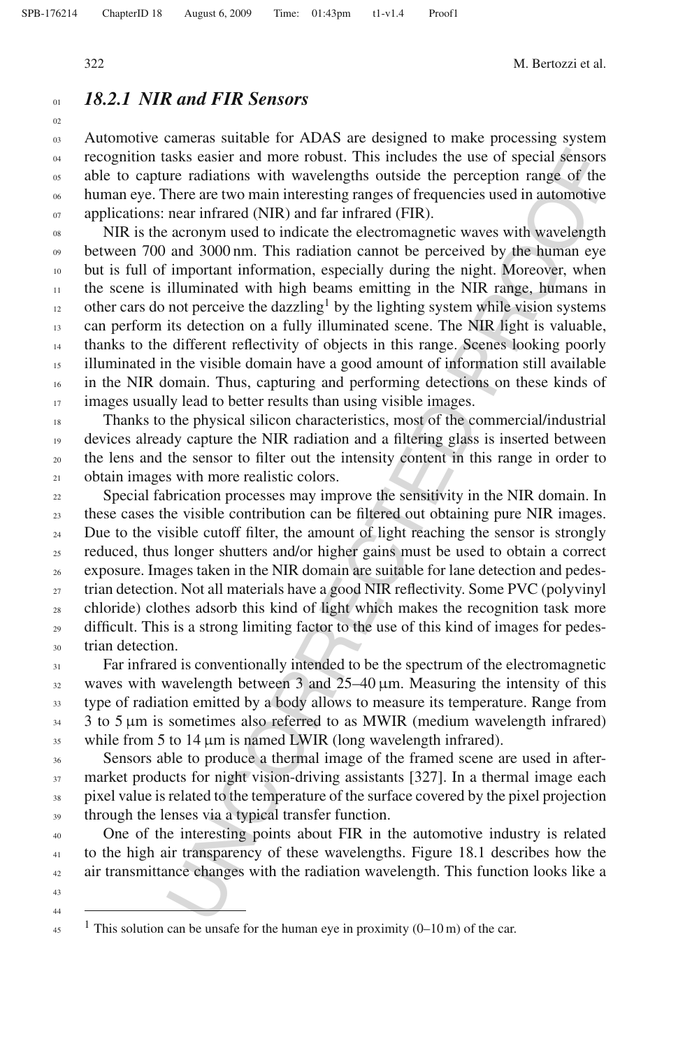322 M. Bertozzi et al.

#### $01$ *18.2.1 NIR and FIR Sensors*

 $02$ 

03 04 05 06 07 Automotive cameras suitable for ADAS are designed to make processing system recognition tasks easier and more robust. This includes the use of special sensors able to capture radiations with wavelengths outside the perception range of the human eye. There are two main interesting ranges of frequencies used in automotive applications: near infrared (NIR) and far infrared (FIR).

asks easier and more robust. This includes the use of special sensors re radiations with wavelengths ouside the perception range of the care infrared (NIR), and far infrared (NIR), and far infrared (NIR) and far infrared d 08 09 10 11 12 13 14 15 16 17 NIR is the acronym used to indicate the electromagnetic waves with wavelength between 700 and 3000 nm. This radiation cannot be perceived by the human eye but is full of important information, especially during the night. Moreover, when the scene is illuminated with high beams emitting in the NIR range, humans in other cars do not perceive the dazzling<sup>1</sup> by the lighting system while vision systems can perform its detection on a fully illuminated scene. The NIR light is valuable, thanks to the different reflectivity of objects in this range. Scenes looking poorly illuminated in the visible domain have a good amount of information still available in the NIR domain. Thus, capturing and performing detections on these kinds of images usually lead to better results than using visible images.

18 19  $20$ 21 Thanks to the physical silicon characteristics, most of the commercial/industrial devices already capture the NIR radiation and a filtering glass is inserted between the lens and the sensor to filter out the intensity content in this range in order to obtain images with more realistic colors.

 $22$ 23 24  $25$ 26  $27$  $28$ 29 30 Special fabrication processes may improve the sensitivity in the NIR domain. In these cases the visible contribution can be filtered out obtaining pure NIR images. Due to the visible cutoff filter, the amount of light reaching the sensor is strongly reduced, thus longer shutters and/or higher gains must be used to obtain a correct exposure. Images taken in the NIR domain are suitable for lane detection and pedestrian detection. Not all materials have a good NIR reflectivity. Some PVC (polyvinyl chloride) clothes adsorb this kind of light which makes the recognition task more difficult. This is a strong limiting factor to the use of this kind of images for pedestrian detection.

31 32 33 34 35 Far infrared is conventionally intended to be the spectrum of the electromagnetic waves with wavelength between 3 and  $25-40 \,\mu m$ . Measuring the intensity of this type of radiation emitted by a body allows to measure its temperature. Range from  $3$  to  $5 \mu m$  is sometimes also referred to as MWIR (medium wavelength infrared) while from 5 to 14  $\mu$ m is named LWIR (long wavelength infrared).

36 37 38 39 Sensors able to produce a thermal image of the framed scene are used in aftermarket products for night vision-driving assistants [327]. In a thermal image each pixel value is related to the temperature of the surface covered by the pixel projection through the lenses via a typical transfer function.

40 41 42 One of the interesting points about FIR in the automotive industry is related to the high air transparency of these wavelengths. Figure 18.1 describes how the air transmittance changes with the radiation wavelength. This function looks like a

43 44 45

<span id="page-5-0"></span><sup>&</sup>lt;sup>1</sup> This solution can be unsafe for the human eye in proximity  $(0-10 \text{ m})$  of the car.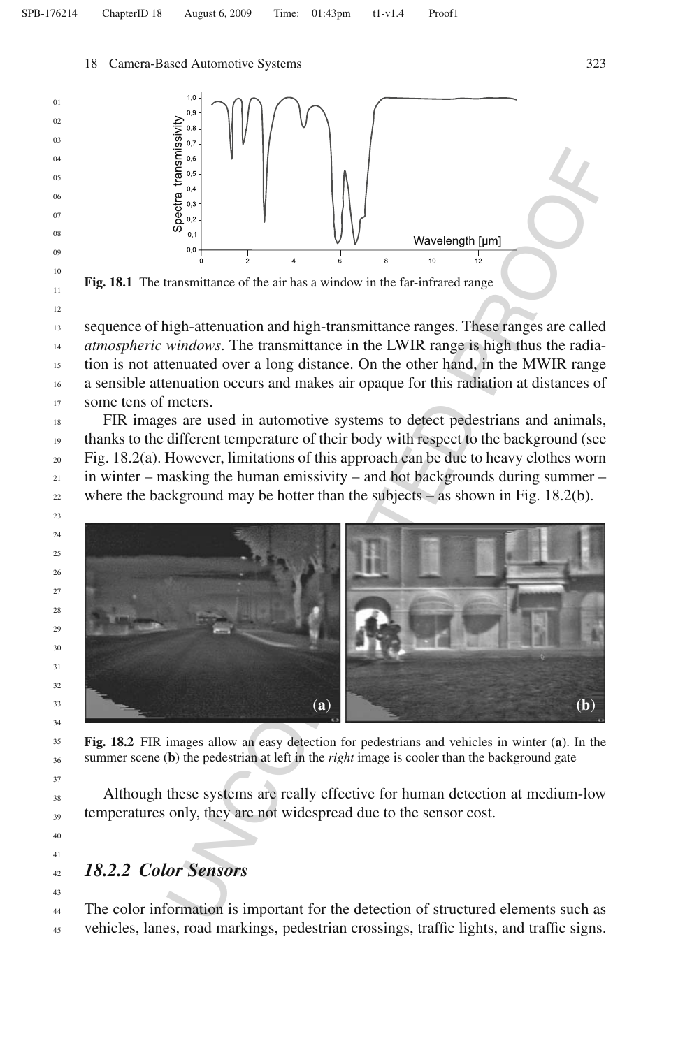

<span id="page-6-0"></span>**Fig. 18.1** The transmittance of the air has a window in the far-infrared range

 sequence of high-attenuation and high-transmittance ranges. These ranges are called *atmospheric windows*. The transmittance in the LWIR range is high thus the radiation is not attenuated over a long distance. On the other hand, in the MWIR range a sensible attenuation occurs and makes air opaque for this radiation at distances of some tens of meters.

 FIR images are used in automotive systems to detect pedestrians and animals, thanks to the different temperature of their body with respect to the background (see Fig. [18.2\(](#page-6-1)a). However, limitations of this approach can be due to heavy clothes worn in winter – masking the human emissivity – and hot backgrounds during summer – where the background may be hotter than the subjects – as shown in Fig. 18.2(b).





<span id="page-6-1"></span>Although these systems are really effective for human detection at medium-low temperatures only, they are not widespread due to the sensor cost.

### *18.2.2 Color Sensors*

 The color information is important for the detection of structured elements such as vehicles, lanes, road markings, pedestrian crossings, traffic lights, and traffic signs.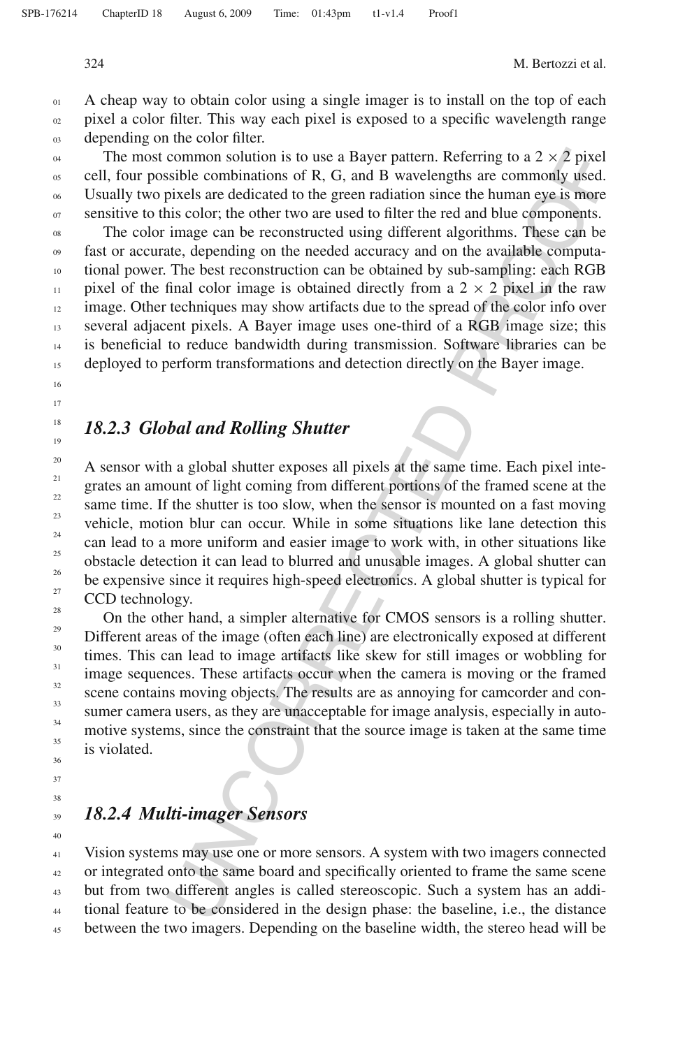$01$  $02$ 03 A cheap way to obtain color using a single imager is to install on the top of each pixel a color filter. This way each pixel is exposed to a specific wavelength range depending on the color filter.

04 05 06 07 The most common solution is to use a Bayer pattern. Referring to a  $2 \times 2$  pixel cell, four possible combinations of R, G, and B wavelengths are commonly used. Usually two pixels are dedicated to the green radiation since the human eye is more sensitive to this color; the other two are used to filter the red and blue components.

common solution is to use a Bayer pattern. Referring to a  $2 \times 2$  pixel<br>sible combinations of R, G, and B wavelengths are commonly used.<br>sible scole/it detect to the green radiation since the human eye is more<br>insection t 08 09 10 11 12 13 14 15 The color image can be reconstructed using different algorithms. These can be fast or accurate, depending on the needed accuracy and on the available computational power. The best reconstruction can be obtained by sub-sampling: each RGB pixel of the final color image is obtained directly from a  $2 \times 2$  pixel in the raw image. Other techniques may show artifacts due to the spread of the color info over several adjacent pixels. A Bayer image uses one-third of a RGB image size; this is beneficial to reduce bandwidth during transmission. Software libraries can be deployed to perform transformations and detection directly on the Bayer image.

## *18.2.3 Global and Rolling Shutter*

 $20$ 21  $22$ 23 24  $25$ 26 27 28 A sensor with a global shutter exposes all pixels at the same time. Each pixel integrates an amount of light coming from different portions of the framed scene at the same time. If the shutter is too slow, when the sensor is mounted on a fast moving vehicle, motion blur can occur. While in some situations like lane detection this can lead to a more uniform and easier image to work with, in other situations like obstacle detection it can lead to blurred and unusable images. A global shutter can be expensive since it requires high-speed electronics. A global shutter is typical for CCD technology.

29 30 31 32 33 35 On the other hand, a simpler alternative for CMOS sensors is a rolling shutter. Different areas of the image (often each line) are electronically exposed at different times. This can lead to image artifacts like skew for still images or wobbling for image sequences. These artifacts occur when the camera is moving or the framed scene contains moving objects. The results are as annoying for camcorder and consumer camera users, as they are unacceptable for image analysis, especially in automotive systems, since the constraint that the source image is taken at the same time is violated.

#### 36 37 38 39

40

34

## *18.2.4 Multi-imager Sensors*

41 42 43 44 45 Vision systems may use one or more sensors. A system with two imagers connected or integrated onto the same board and specifically oriented to frame the same scene but from two different angles is called stereoscopic. Such a system has an additional feature to be considered in the design phase: the baseline, i.e., the distance between the two imagers. Depending on the baseline width, the stereo head will be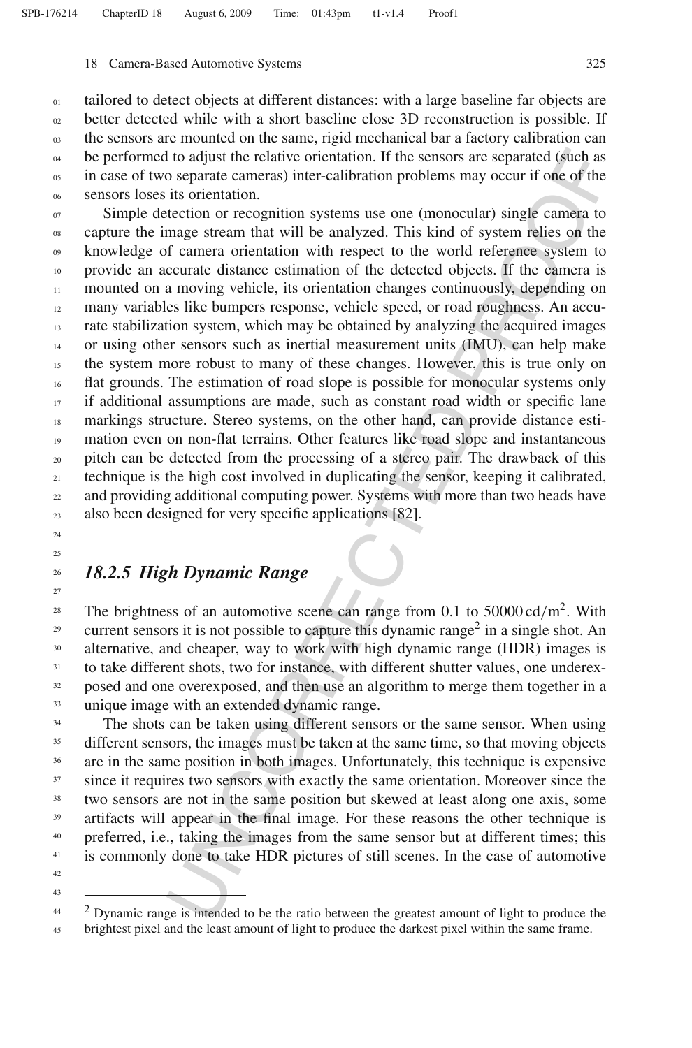$01$  $02$ 03 04 05 06 tailored to detect objects at different distances: with a large baseline far objects are better detected while with a short baseline close 3D reconstruction is possible. If the sensors are mounted on the same, rigid mechanical bar a factory calibration can be performed to adjust the relative orientation. If the sensors are separated (such as in case of two separate cameras) inter-calibration problems may occur if one of the sensors loses its orientation.

to adjust the relative orientation. If the sensors are separated (such as<br>separated cameas) inter-calibration problems may occur if one of the<br>is orientation.<br>[T](#page--1-1)he correntinon systems use one (monocoular) single cameta to<br>  $07$ 08 09 10 11 12 13 14 15 16 17 18 19  $20$ 21 22 23 Simple detection or recognition systems use one (monocular) single camera to capture the image stream that will be analyzed. This kind of system relies on the knowledge of camera orientation with respect to the world reference system to provide an accurate distance estimation of the detected objects. If the camera is mounted on a moving vehicle, its orientation changes continuously, depending on many variables like bumpers response, vehicle speed, or road roughness. An accurate stabilization system, which may be obtained by analyzing the acquired images or using other sensors such as inertial measurement units (IMU), can help make the system more robust to many of these changes. However, this is true only on flat grounds. The estimation of road slope is possible for monocular systems only if additional assumptions are made, such as constant road width or specific lane markings structure. Stereo systems, on the other hand, can provide distance estimation even on non-flat terrains. Other features like road slope and instantaneous pitch can be detected from the processing of a stereo pair. The drawback of this technique is the high cost involved in duplicating the sensor, keeping it calibrated, and providing additional computing power. Systems with more than two heads have also been designed for very specific applications [82].

24  $25$ 

## *18.2.5 High Dynamic Range*

26 27

28 29 30 31 32 33 The brightness of an automotive scene can range from 0.1 to 50000 cd*/*m2. With current sensors it is not possible to capture this dynamic range<sup>2</sup> in a single shot. An alternative, and cheaper, way to work with high dynamic range (HDR) images is to take different shots, two for instance, with different shutter values, one underexposed and one overexposed, and then use an algorithm to merge them together in a unique image with an extended dynamic range.

34 35 36 37 38 39 40 41 The shots can be taken using different sensors or the same sensor. When using different sensors, the images must be taken at the same time, so that moving objects are in the same position in both images. Unfortunately, this technique is expensive since it requires two sensors with exactly the same orientation. Moreover since the two sensors are not in the same position but skewed at least along one axis, some artifacts will appear in the final image. For these reasons the other technique is preferred, i.e., taking the images from the same sensor but at different times; this is commonly done to take HDR pictures of still scenes. In the case of automotive

42 43

<sup>44</sup>  $2$  Dynamic range is intended to be the ratio between the greatest amount of light to produce the

<span id="page-8-0"></span><sup>45</sup> brightest pixel and the least amount of light to produce the darkest pixel within the same frame.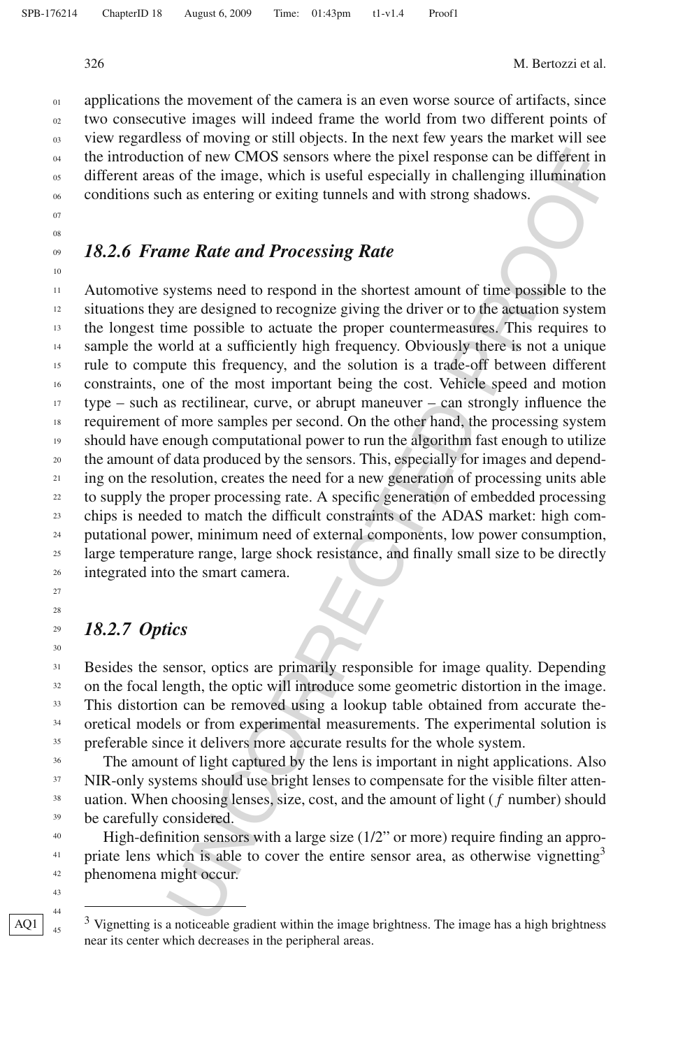$01$  $02$ 03 04 05 06 applications the movement of the camera is an even worse source of artifacts, since two consecutive images will indeed frame the world from two different points of view regardless of moving or still objects. In the next few years the market will see the introduction of new CMOS sensors where the pixel response can be different in different areas of the image, which is useful especially in challenging illumination conditions such as entering or exiting tunnels and with strong shadows.

## *18.2.6 Frame Rate and Processing Rate*

on of new CMOS sensors where the pixel response can be different in<br>so fo the image, which is useful especially in challenging illumination<br>che sentering or exiting useful especially in challenging illumination<br>the senter 11 12 13 14 15 16 17 18 19 20 21 22 23  $^{24}$  $25$ 26 Automotive systems need to respond in the shortest amount of time possible to the situations they are designed to recognize giving the driver or to the actuation system the longest time possible to actuate the proper countermeasures. This requires to sample the world at a sufficiently high frequency. Obviously there is not a unique rule to compute this frequency, and the solution is a trade-off between different constraints, one of the most important being the cost. Vehicle speed and motion type – such as rectilinear, curve, or abrupt maneuver – can strongly influence the requirement of more samples per second. On the other hand, the processing system should have enough computational power to run the algorithm fast enough to utilize the amount of data produced by the sensors. This, especially for images and depending on the resolution, creates the need for a new generation of processing units able to supply the proper processing rate. A specific generation of embedded processing chips is needed to match the difficult constraints of the ADAS market: high computational power, minimum need of external components, low power consumption, large temperature range, large shock resistance, and finally small size to be directly integrated into the smart camera.

27 28 29

30

## *18.2.7 Optics*

31 32 33 34 35 Besides the sensor, optics are primarily responsible for image quality. Depending on the focal length, the optic will introduce some geometric distortion in the image. This distortion can be removed using a lookup table obtained from accurate theoretical models or from experimental measurements. The experimental solution is preferable since it delivers more accurate results for the whole system.

36 37 38 39 40 The amount of light captured by the lens is important in night applications. Also NIR-only systems should use bright lenses to compensate for the visible filter attenuation. When choosing lenses, size, cost, and the amount of light ( *f* number) should be carefully considered.

High-definition sensors with a large size (1/2" or more) require finding an appropriate lens which is able to cover the entire sensor area, as otherwise vignetting3 phenomena might occur.

<span id="page-9-0"></span> $\Delta$ Q1  $\frac{3}{10}$  Vignetting is a noticeable gradient within the image brightness. The image has a high brightness near its center which decreases in the peripheral areas.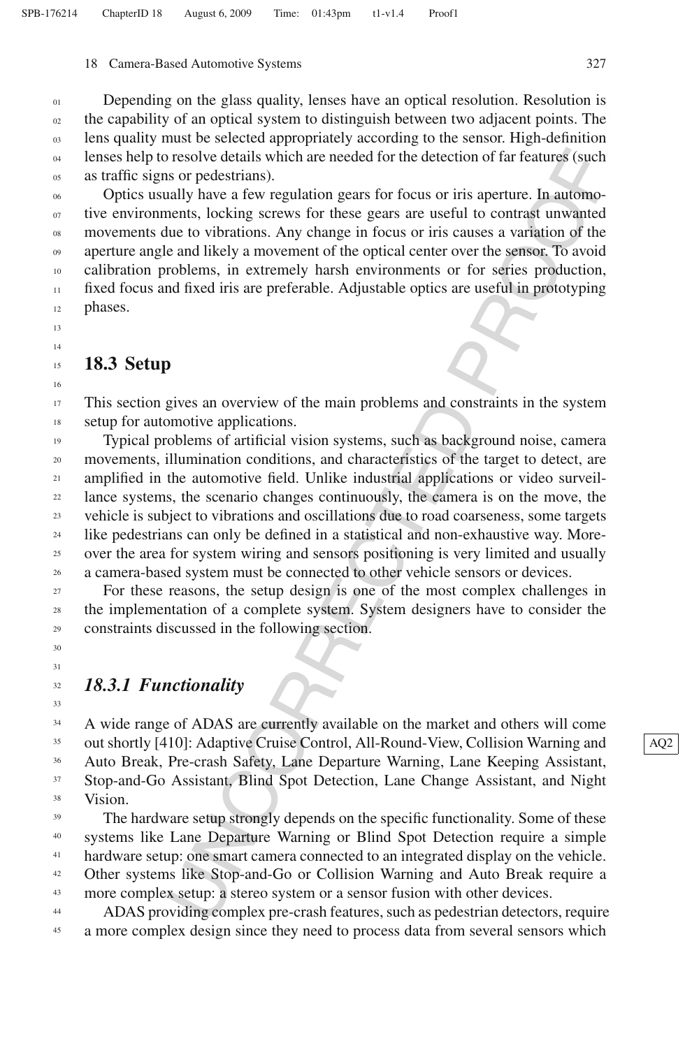$01$  $02$ 03 04 05 Depending on the glass quality, lenses have an optical resolution. Resolution is the capability of an optical system to distinguish between two adjacent points. The lens quality must be selected appropriately according to the sensor. High-definition lenses help to resolve details which are needed for the detection of far features (such as traffic signs or pedestrians).

06  $07$ 08 09 10 11 12 Optics usually have a few regulation gears for focus or iris aperture. In automotive environments, locking screws for these gears are useful to contrast unwanted movements due to vibrations. Any change in focus or iris causes a variation of the aperture angle and likely a movement of the optical center over the sensor. To avoid calibration problems, in extremely harsh environments or for series production, fixed focus and fixed iris are preferable. Adjustable optics are useful in prototyping phases.

#### 13 14

### **18.3 Setup**

15 16

17 18 This section gives an overview of the main problems and constraints in the system setup for automotive applications.

resolve details which are needed for the detection of far features (such<br>so repolestinas).<br>
So repolestinas,<br>
So repolestinas, locking serves for these geass are useful to contrast unwatted<br>neutro-<br>the to vibrations. Any c 19  $20$ 21 22 23  $^{24}$  $25$ 26 Typical problems of artificial vision systems, such as background noise, camera movements, illumination conditions, and characteristics of the target to detect, are amplified in the automotive field. Unlike industrial applications or video surveillance systems, the scenario changes continuously, the camera is on the move, the vehicle is subject to vibrations and oscillations due to road coarseness, some targets like pedestrians can only be defined in a statistical and non-exhaustive way. Moreover the area for system wiring and sensors positioning is very limited and usually a camera-based system must be connected to other vehicle sensors or devices.

27 28 29 For these reasons, the setup design is one of the most complex challenges in the implementation of a complete system. System designers have to consider the constraints discussed in the following section.

- *18.3.1 Functionality*
- 34 35 36 37 38 A wide range of ADAS are currently available on the market and others will come out shortly [\[410\]](#page--1-0): Adaptive Cruise Control, All-Round-View, Collision Warning and AQ2 Auto Break, Pre-crash Safety, Lane Departure Warning, Lane Keeping Assistant, Stop-and-Go Assistant, Blind Spot Detection, Lane Change Assistant, and Night Vision.
- 39 40 41 42 43 44 The hardware setup strongly depends on the specific functionality. Some of these systems like Lane Departure Warning or Blind Spot Detection require a simple hardware setup: one smart camera connected to an integrated display on the vehicle. Other systems like Stop-and-Go or Collision Warning and Auto Break require a more complex setup: a stereo system or a sensor fusion with other devices. ADAS providing complex pre-crash features, such as pedestrian detectors, require
- 45 a more complex design since they need to process data from several sensors which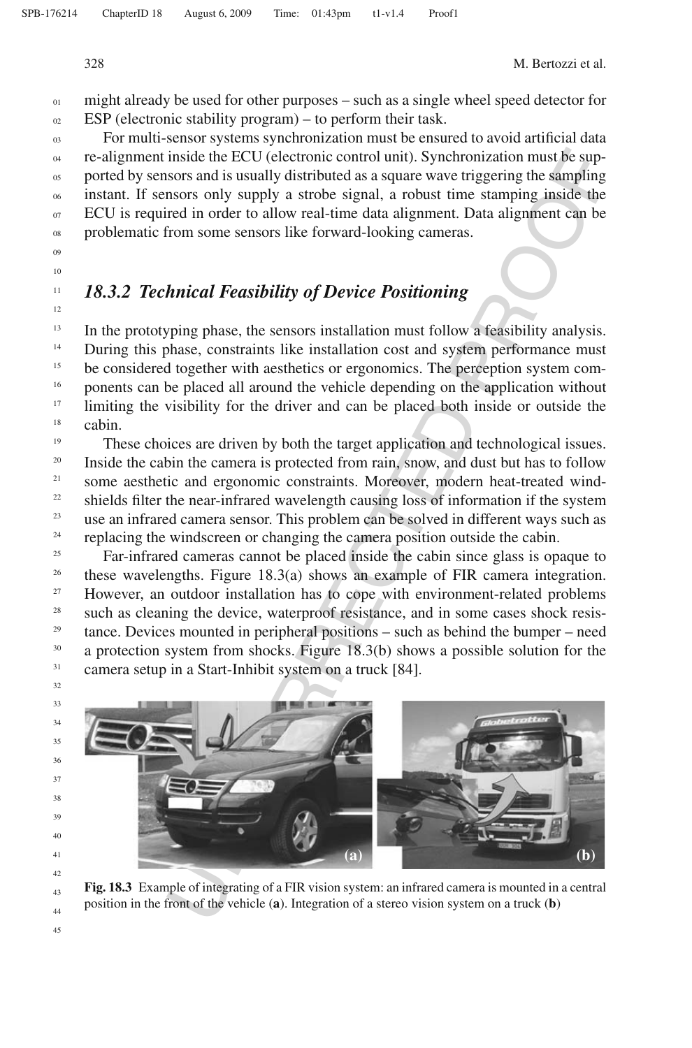$01$  $02$ might already be used for other purposes – such as a single wheel speed detector for ESP (electronic stability program) – to perform their task.

03 04 05 06  $07$ 08 For multi-sensor systems synchronization must be ensured to avoid artificial data re-alignment inside the ECU (electronic control unit). Synchronization must be supported by sensors and is usually distributed as a square wave triggering the sampling instant. If sensors only supply a strobe signal, a robust time stamping inside the ECU is required in order to allow real-time data alignment. Data alignment can be problematic from some sensors like forward-looking cameras.

- 09
- 10 11

12

## *18.3.2 Technical Feasibility of Device Positioning*

13 14 15 16 17 18 In the prototyping phase, the sensors installation must follow a feasibility analysis. During this phase, constraints like installation cost and system performance must be considered together with aesthetics or ergonomics. The perception system components can be placed all around the vehicle depending on the application without limiting the visibility for the driver and can be placed both inside or outside the cabin.

19 20 21 22 23  $^{24}$ These choices are driven by both the target application and technological issues. Inside the cabin the camera is protected from rain, snow, and dust but has to follow some aesthetic and ergonomic constraints. Moreover, modern heat-treated windshields filter the near-infrared wavelength causing loss of information if the system use an infrared camera sensor. This problem can be solved in different ways such as replacing the windscreen or changing the camera position outside the cabin.

 $25$ 26 27 28 29 30 31 Far-infrared cameras cannot be placed inside the cabin since glass is opaque to these wavelengths. Figure 18.3(a) shows an example of FIR camera integration. However, an outdoor installation has to cope with environment-related problems such as cleaning the device, waterproof resistance, and in some cases shock resistance. Devices mounted in peripheral positions – such as behind the bumper – need a protection system from shocks. Figure 18.3(b) shows a possible solution for the camera setup in a Start-Inhibit system on a truck [84].



43 44 **Fig. 18.3** Example of integrating of a FIR vision system: an infrared camera is mounted in a central position in the front of the vehicle (**a**). Integration of a stereo vision system on a truck (**b**)

<span id="page-11-0"></span>45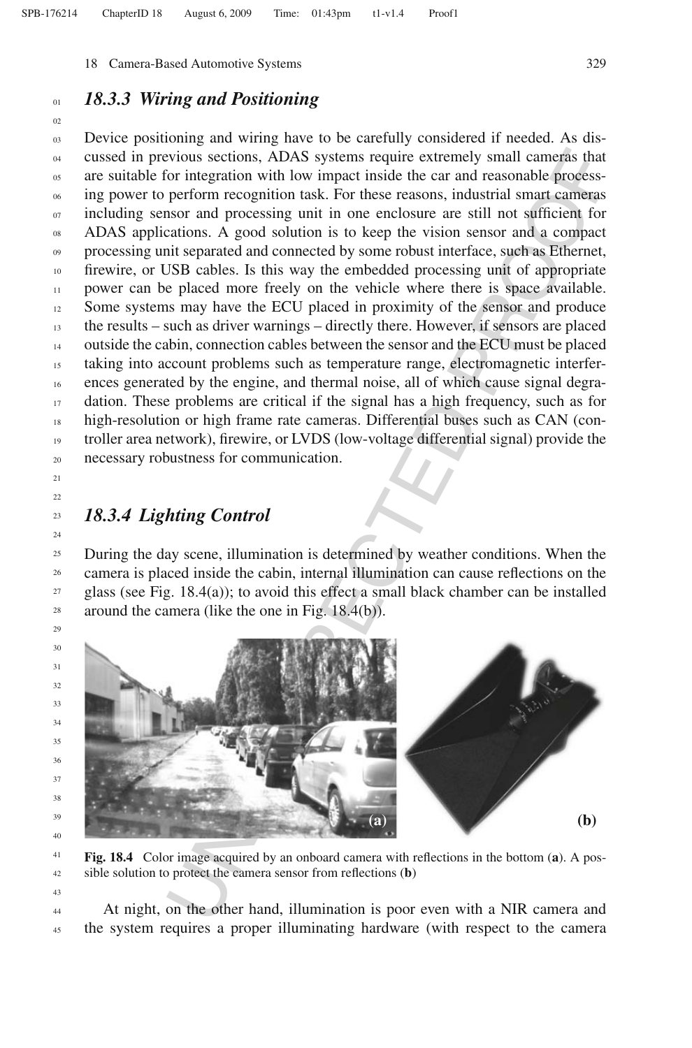## *18.3.3 Wiring and Positioning*

 $01$  $02$ 

<span id="page-12-0"></span>43

vious sections, ADAS systems require extremely small camenas that<br>or integration with low inpact inside the car and reasonate process<br>perform recognition task. For these reasons, industrial small camenas<br>as or and processi 03 04 05 06 07 08 09 10 11 12 13 14 15 16 17 18 19  $20$ Device positioning and wiring have to be carefully considered if needed. As discussed in previous sections, ADAS systems require extremely small cameras that are suitable for integration with low impact inside the car and reasonable processing power to perform recognition task. For these reasons, industrial smart cameras including sensor and processing unit in one enclosure are still not sufficient for ADAS applications. A good solution is to keep the vision sensor and a compact processing unit separated and connected by some robust interface, such as Ethernet, firewire, or USB cables. Is this way the embedded processing unit of appropriate power can be placed more freely on the vehicle where there is space available. Some systems may have the ECU placed in proximity of the sensor and produce the results – such as driver warnings – directly there. However, if sensors are placed outside the cabin, connection cables between the sensor and the ECU must be placed taking into account problems such as temperature range, electromagnetic interferences generated by the engine, and thermal noise, all of which cause signal degradation. These problems are critical if the signal has a high frequency, such as for high-resolution or high frame rate cameras. Differential buses such as CAN (controller area network), firewire, or LVDS (low-voltage differential signal) provide the necessary robustness for communication.

## *18.3.4 Lighting Control*

During the day scene, illumination is determined by weather conditions. When the camera is placed inside the cabin, internal illumination can cause reflections on the glass (see Fig. 18.4(a)); to avoid this effect a small black chamber can be installed around the camera (like the one in Fig. 18.4(b)).



41 42 **Fig. 18.4** Color image acquired by an onboard camera with reflections in the bottom (**a**). A possible solution to protect the camera sensor from reflections (**b**)

44 45 At night, on the other hand, illumination is poor even with a NIR camera and the system requires a proper illuminating hardware (with respect to the camera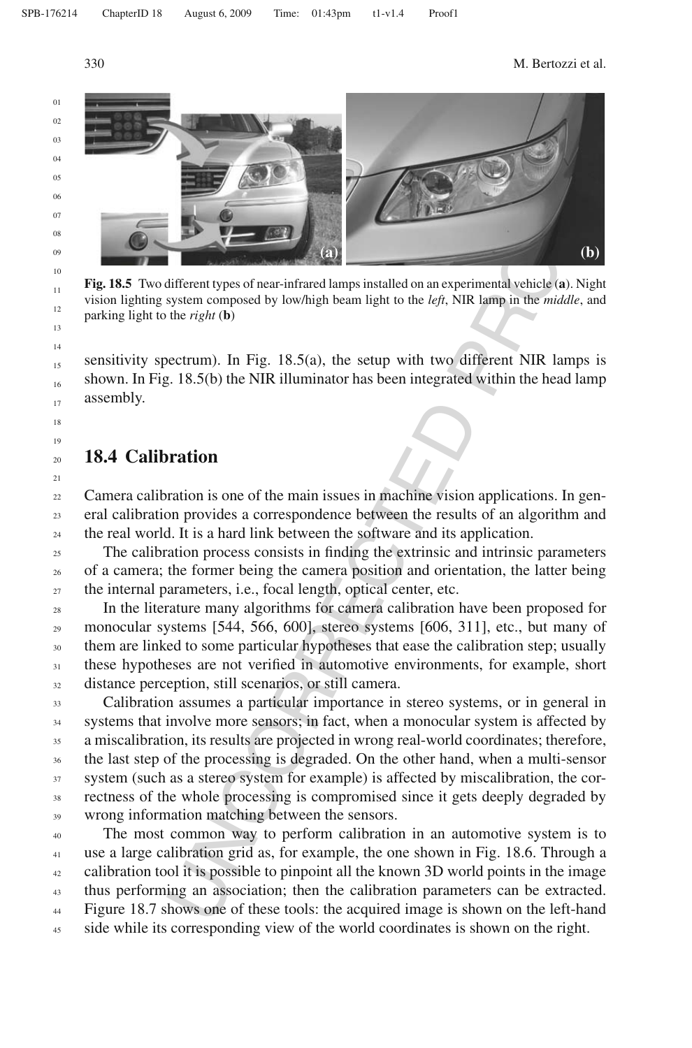330 M. Bertozzi et al.



**Fig. 18.5** Two different types of near-infrared lamps installed on an experimental vehicle (**a**). Night vision lighting system composed by low/high beam light to the *left*, NIR lamp in the *middle*, and parking light to the *right* (**b**)

<span id="page-13-0"></span>sensitivity spectrum). In Fig. 18.5(a), the setup with two different NIR lamps is shown. In Fig. 18.5(b) the NIR illuminator has been integrated within the head lamp assembly.

## **18.4 Calibration**

22 23 24 Camera calibration is one of the main issues in machine vision applications. In general calibration provides a correspondence between the results of an algorithm and the real world. It is a hard link between the software and its application.

 $25$ 26  $27$ The calibration process consists in finding the extrinsic and intrinsic parameters of a camera; the former being the camera position and orientation, the latter being the internal parameters, i.e., focal length, optical center, etc.

 $28$ 29 30 31 32 In the literature many algorithms for camera calibration have been proposed for monocular systems [544, 566, 600], stereo systems [606, 311], etc., but many of them are linked to some particular hypotheses that ease the calibration step; usually these hypotheses are not verified in automotive environments, for example, short distance perception, still scenarios, or still camera.

(a)<br>
Tifferent types of near-infrared lamps installed on an experimental vehicle (a). Night<br>
there *night* (b)<br>
there are of the main ignus installed on an experimental vehicle (a). Night<br>
there *nght* (b)<br>
there *nght* (b 33 34 35 36 37 38 39 Calibration assumes a particular importance in stereo systems, or in general in systems that involve more sensors; in fact, when a monocular system is affected by a miscalibration, its results are projected in wrong real-world coordinates; therefore, the last step of the processing is degraded. On the other hand, when a multi-sensor system (such as a stereo system for example) is affected by miscalibration, the correctness of the whole processing is compromised since it gets deeply degraded by wrong information matching between the sensors.

40 41 42 43 44 45 The most common way to perform calibration in an automotive system is to use a large calibration grid as, for example, the one shown in Fig. 18.6. Through a calibration tool it is possible to pinpoint all the known 3D world points in the image thus performing an association; then the calibration parameters can be extracted. Figure [18.7](#page-14-1) shows one of these tools: the acquired image is shown on the left-hand side while its corresponding view of the world coordinates is shown on the right.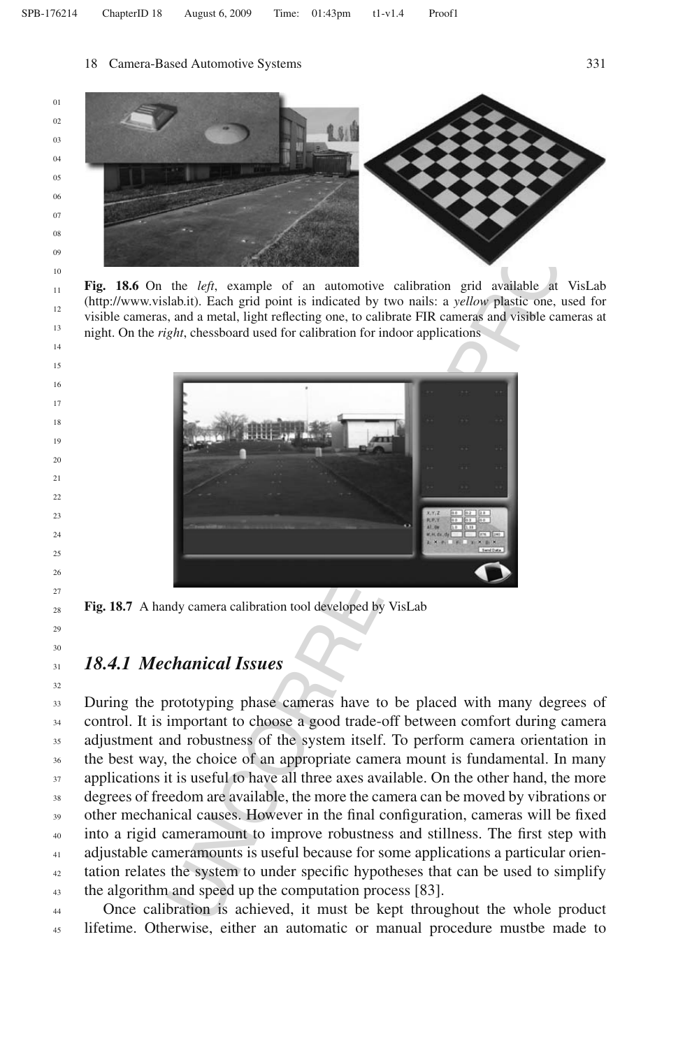

**Fig. 18.6** On the *left*, example of an automotive calibration grid available at VisLab (http://www.vislab.it). Each grid point is indicated by two nails: a *yellow* plastic one, used for visible cameras, and a metal, light reflecting one, to calibrate FIR cameras and visible cameras at night. On the *right*, chessboard used for calibration for indoor applications

<span id="page-14-0"></span>

<span id="page-14-1"></span>**Fig. 18.7** A handy camera calibration tool developed by VisLab

## *18.4.1 Mechanical Issues*

The *left*, example of an automotive calibration grid available at Vistah<br>absolution. Each grid point is indicated by two nails a *yellow* platsic one, used for<br>and metal, light reflecting one, to calibration for indoor a During the prototyping phase cameras have to be placed with many degrees of control. It is important to choose a good trade-off between comfort during camera adjustment and robustness of the system itself. To perform camera orientation in the best way, the choice of an appropriate camera mount is fundamental. In many applications it is useful to have all three axes available. On the other hand, the more degrees of freedom are available, the more the camera can be moved by vibrations or other mechanical causes. However in the final configuration, cameras will be fixed into a rigid cameramount to improve robustness and stillness. The first step with adjustable cameramounts is useful because for some applications a particular orientation relates the system to under specific hypotheses that can be used to simplify the algorithm and speed up the computation process [83].

 Once calibration is achieved, it must be kept throughout the whole product lifetime. Otherwise, either an automatic or manual procedure mustbe made to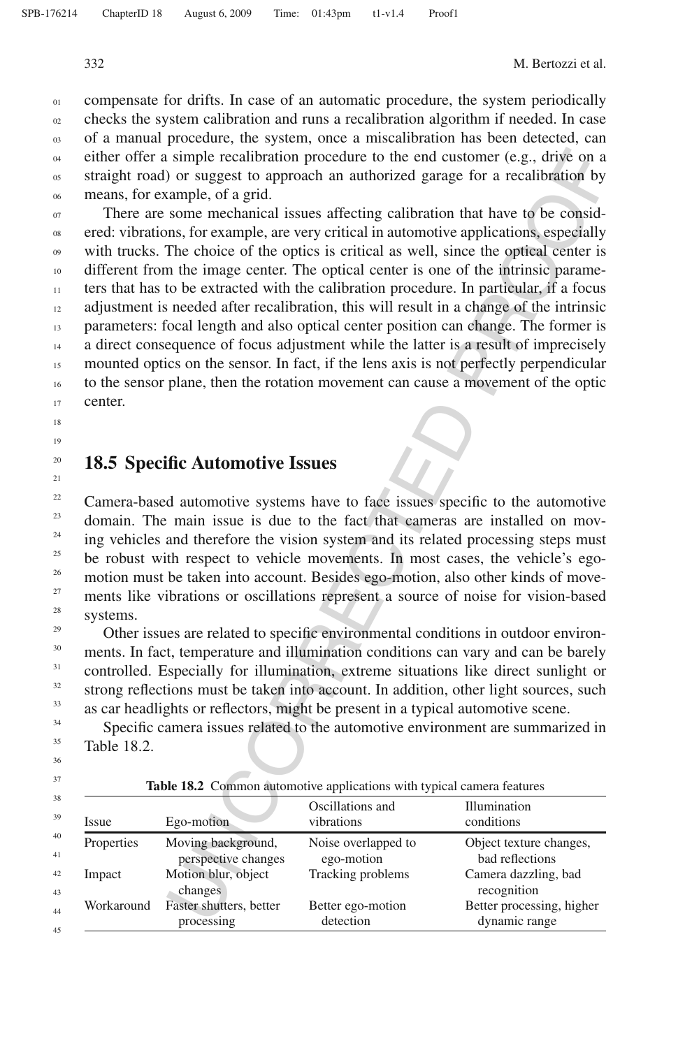35 36

#### 332 M. Bertozzi et al.

 $01$  $02$ 03 04 05 06 compensate for drifts. In case of an automatic procedure, the system periodically checks the system calibration and runs a recalibration algorithm if needed. In case of a manual procedure, the system, once a miscalibration has been detected, can either offer a simple recalibration procedure to the end customer (e.g., drive on a straight road) or suggest to approach an authorized garage for a recalibration by means, for example, of a grid.

simple recalibration procedure to the end customer (e.g., drivé on a<br>
or suggest to approach an authorized garage for a recalibration by<br>
or suggest to approach an authorized garage for a recalibration by<br>
some mechanical  $07$ 08 09 10 11 12 13 14 15 16 17 There are some mechanical issues affecting calibration that have to be considered: vibrations, for example, are very critical in automotive applications, especially with trucks. The choice of the optics is critical as well, since the optical center is different from the image center. The optical center is one of the intrinsic parameters that has to be extracted with the calibration procedure. In particular, if a focus adjustment is needed after recalibration, this will result in a change of the intrinsic parameters: focal length and also optical center position can change. The former is a direct consequence of focus adjustment while the latter is a result of imprecisely mounted optics on the sensor. In fact, if the lens axis is not perfectly perpendicular to the sensor plane, then the rotation movement can cause a movement of the optic center.

## **18.5 Specific Automotive Issues**

22 23 24  $25$ 26 27 28 Camera-based automotive systems have to face issues specific to the automotive domain. The main issue is due to the fact that cameras are installed on moving vehicles and therefore the vision system and its related processing steps must be robust with respect to vehicle movements. In most cases, the vehicle's egomotion must be taken into account. Besides ego-motion, also other kinds of movements like vibrations or oscillations represent a source of noise for vision-based systems.

29 30 31 32 33 34 Other issues are related to specific environmental conditions in outdoor environments. In fact, temperature and illumination conditions can vary and can be barely controlled. Especially for illumination, extreme situations like direct sunlight or strong reflections must be taken into account. In addition, other light sources, such as car headlights or reflectors, might be present in a typical automotive scene.

Specific camera issues related to the automotive environment are summarized in Table [18.2.](#page-15-0)

<span id="page-15-0"></span>

| Issue      | Ego-motion                     | Oscillations and<br>vibrations | Illumination<br>conditions          |
|------------|--------------------------------|--------------------------------|-------------------------------------|
| Properties | Moving background,             | Noise overlapped to            | Object texture changes,             |
|            | perspective changes            | ego-motion                     | bad reflections                     |
| Impact     | Motion blur, object<br>changes | Tracking problems              | Camera dazzling, bad<br>recognition |
| Workaround | Faster shutters, better        | Better ego-motion              | Better processing, higher           |
|            | processing                     | detection                      | dynamic range                       |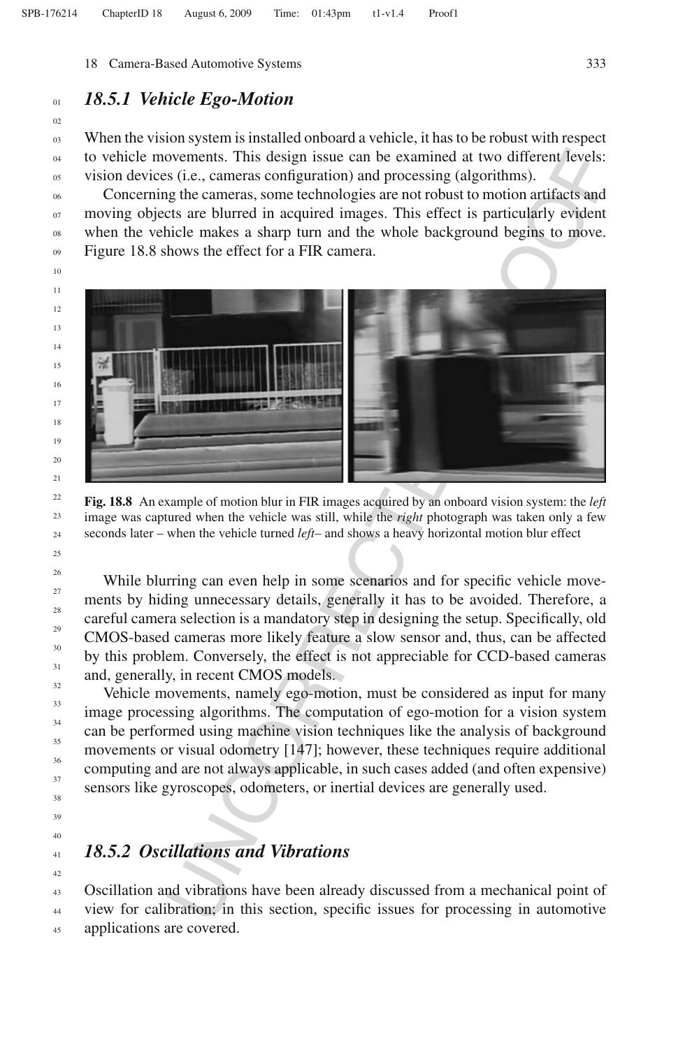## *18.5.1 Vehicle Ego-Motion*

 $01$  $02$ 03

04 05

When the vision system is installed onboard a vehicle, it has to be robust with respect to vehicle movements. This design issue can be examined at two different levels: vision devices (i.e., cameras configuration) and processing (algorithms).

06  $07$ 08 09 Concerning the cameras, some technologies are not robust to motion artifacts and moving objects are blurred in acquired images. This effect is particularly evident when the vehicle makes a sharp turn and the whole background begins to move. Figure [18.8](#page-16-0) shows the effect for a FIR camera.



**Fig. 18.8** An example of motion blur in FIR images acquired by an onboard vision system: the *left* image was captured when the vehicle was still, while the *right* photograph was taken only a few seconds later – when the vehicle turned *left*– and shows a heavy horizontal motion blur effect

<span id="page-16-0"></span>While blurring can even help in some scenarios and for specific vehicle movements by hiding unnecessary details, generally it has to be avoided. Therefore, a careful camera selection is a mandatory step in designing the setup. Specifically, old CMOS-based cameras more likely feature a slow sensor and, thus, can be affected by this problem. Conversely, the effect is not appreciable for CCD-based cameras and, generally, in recent CMOS models.

Vehicle movements, namely ego-motion, must be considered as input for many image processing algorithms. The computation of ego-motion for a vision system can be performed using machine vision techniques like the analysis of background movements or visual odometry [147]; however, these techniques require additional computing and are not always applicable, in such cases added (and often expensive) sensors like gyroscopes, odometers, or inertial devices are generally used.

## *18.5.2 Oscillations and Vibrations*

43 44 45 Oscillation and vibrations have been already discussed from a mechanical point of view for calibration; in this section, specific issues for processing in automotive applications are covered.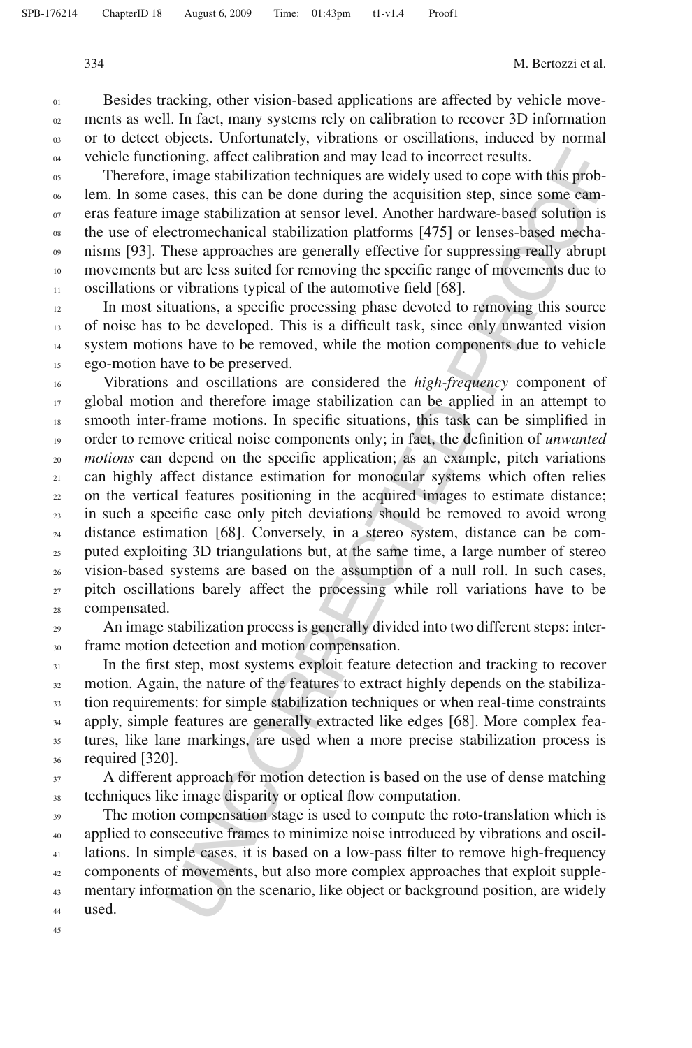#### 334 M. Bertozzi et al.

 $01$  $02$ 03 04 Besides tracking, other vision-based applications are affected by vehicle movements as well. In fact, many systems rely on calibration to recover 3D information or to detect objects. Unfortunately, vibrations or oscillations, induced by normal vehicle functioning, affect calibration and may lead to incorrect results.

05 06  $07$ 08 09 10 11 Therefore, image stabilization techniques are widely used to cope with this problem. In some cases, this can be done during the acquisition step, since some cameras feature image stabilization at sensor level. Another hardware-based solution is the use of electromechanical stabilization platforms [475] or lenses-based mechanisms [\[93\]](#page--1-10). These approaches are generally effective for suppressing really abrupt movements but are less suited for removing the specific range of movements due to oscillations or vibrations typical of the automotive field [68].

12 13 14 15 In most situations, a specific processing phase devoted to removing this source of noise has to be developed. This is a difficult task, since only unwanted vision system motions have to be removed, while the motion components due to vehicle ego-motion have to be preserved.

ioning, affect calibration and may lead to incorrect results.<br>
images stabilization iechniques are widely used to ope with this prob-<br>
enses, this can be done during the acquisition step, since some empara<br>
enses, this ca 16 17 18 19  $20$ 21 22 23 24  $25$ 26  $27$  $28$ Vibrations and oscillations are considered the *high-frequency* component of global motion and therefore image stabilization can be applied in an attempt to smooth inter-frame motions. In specific situations, this task can be simplified in order to remove critical noise components only; in fact, the definition of *unwanted motions* can depend on the specific application; as an example, pitch variations can highly affect distance estimation for monocular systems which often relies on the vertical features positioning in the acquired images to estimate distance; in such a specific case only pitch deviations should be removed to avoid wrong distance estimation [68]. Conversely, in a stereo system, distance can be computed exploiting 3D triangulations but, at the same time, a large number of stereo vision-based systems are based on the assumption of a null roll. In such cases, pitch oscillations barely affect the processing while roll variations have to be compensated.

29 30 An image stabilization process is generally divided into two different steps: interframe motion detection and motion compensation.

31 32 33 34 35 36 In the first step, most systems exploit feature detection and tracking to recover motion. Again, the nature of the features to extract highly depends on the stabilization requirements: for simple stabilization techniques or when real-time constraints apply, simple features are generally extracted like edges [68]. More complex features, like lane markings, are used when a more precise stabilization process is required [\[320\]](#page--1-1).

37 38 A different approach for motion detection is based on the use of dense matching techniques like image disparity or optical flow computation.

39 40 41 42 43 44 The motion compensation stage is used to compute the roto-translation which is applied to consecutive frames to minimize noise introduced by vibrations and oscillations. In simple cases, it is based on a low-pass filter to remove high-frequency components of movements, but also more complex approaches that exploit supplementary information on the scenario, like object or background position, are widely used.

45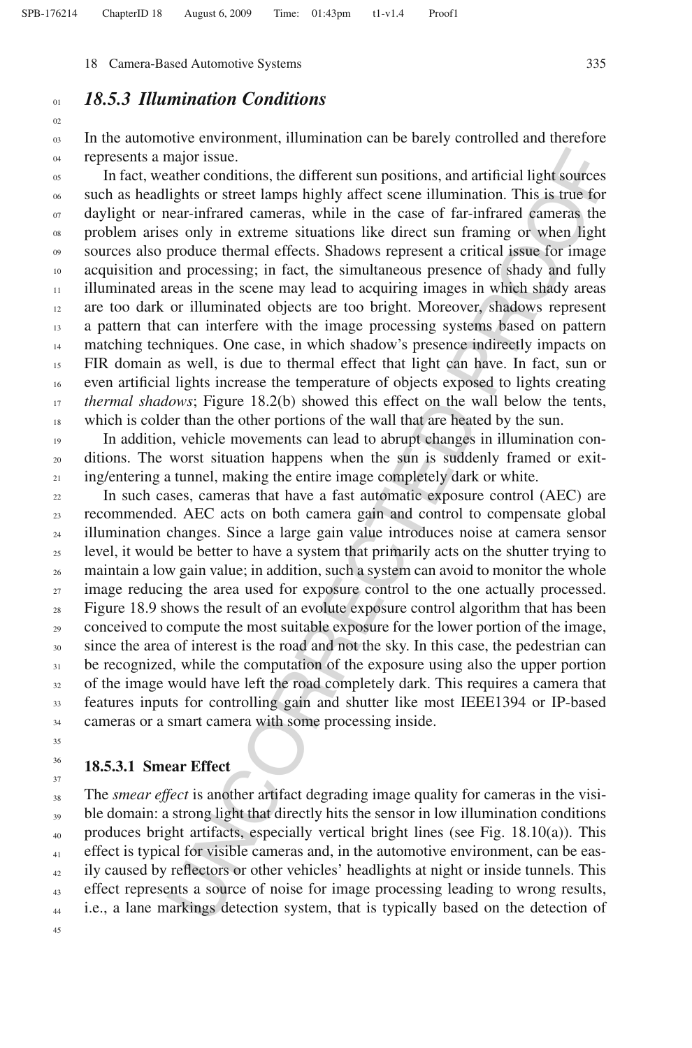### *18.5.3 Illumination Conditions*

 $01$  $02$ 

03 04 In the automotive environment, illumination can be barely controlled and therefore represents a major issue.

major issue.<br>
and prigical engines and trifficial light sources<br>
and the conditions, the different sun positions, and artificial light sources<br>
trights or street lamps highly affect scene illumination. This is true for<br>
li 05 06 07 08 09 10 11 12 13 14 15 16 17 18 In fact, weather conditions, the different sun positions, and artificial light sources such as headlights or street lamps highly affect scene illumination. This is true for daylight or near-infrared cameras, while in the case of far-infrared cameras the problem arises only in extreme situations like direct sun framing or when light sources also produce thermal effects. Shadows represent a critical issue for image acquisition and processing; in fact, the simultaneous presence of shady and fully illuminated areas in the scene may lead to acquiring images in which shady areas are too dark or illuminated objects are too bright. Moreover, shadows represent a pattern that can interfere with the image processing systems based on pattern matching techniques. One case, in which shadow's presence indirectly impacts on FIR domain as well, is due to thermal effect that light can have. In fact, sun or even artificial lights increase the temperature of objects exposed to lights creating *thermal shadows*; Figure 18.2(b) showed this effect on the wall below the tents, which is colder than the other portions of the wall that are heated by the sun.

19  $20$ 21 In addition, vehicle movements can lead to abrupt changes in illumination conditions. The worst situation happens when the sun is suddenly framed or exiting/entering a tunnel, making the entire image completely dark or white.

 $22$ 23 24  $25$ 26  $27$ 28 29 30 31 32 33 34 In such cases, cameras that have a fast automatic exposure control (AEC) are recommended. AEC acts on both camera gain and control to compensate global illumination changes. Since a large gain value introduces noise at camera sensor level, it would be better to have a system that primarily acts on the shutter trying to maintain a low gain value; in addition, such a system can avoid to monitor the whole image reducing the area used for exposure control to the one actually processed. Figure [18.9](#page-19-0) shows the result of an evolute exposure control algorithm that has been conceived to compute the most suitable exposure for the lower portion of the image, since the area of interest is the road and not the sky. In this case, the pedestrian can be recognized, while the computation of the exposure using also the upper portion of the image would have left the road completely dark. This requires a camera that features inputs for controlling gain and shutter like most IEEE1394 or IP-based cameras or a smart camera with some processing inside.

35 36

37

#### **18.5.3.1 Smear Effect**

38 39 40 41 42 43 44 45 The *smear effect* is another artifact degrading image quality for cameras in the visible domain: a strong light that directly hits the sensor in low illumination conditions produces bright artifacts, especially vertical bright lines (see Fig. 18.10(a)). This effect is typical for visible cameras and, in the automotive environment, can be easily caused by reflectors or other vehicles' headlights at night or inside tunnels. This effect represents a source of noise for image processing leading to wrong results, i.e., a lane markings detection system, that is typically based on the detection of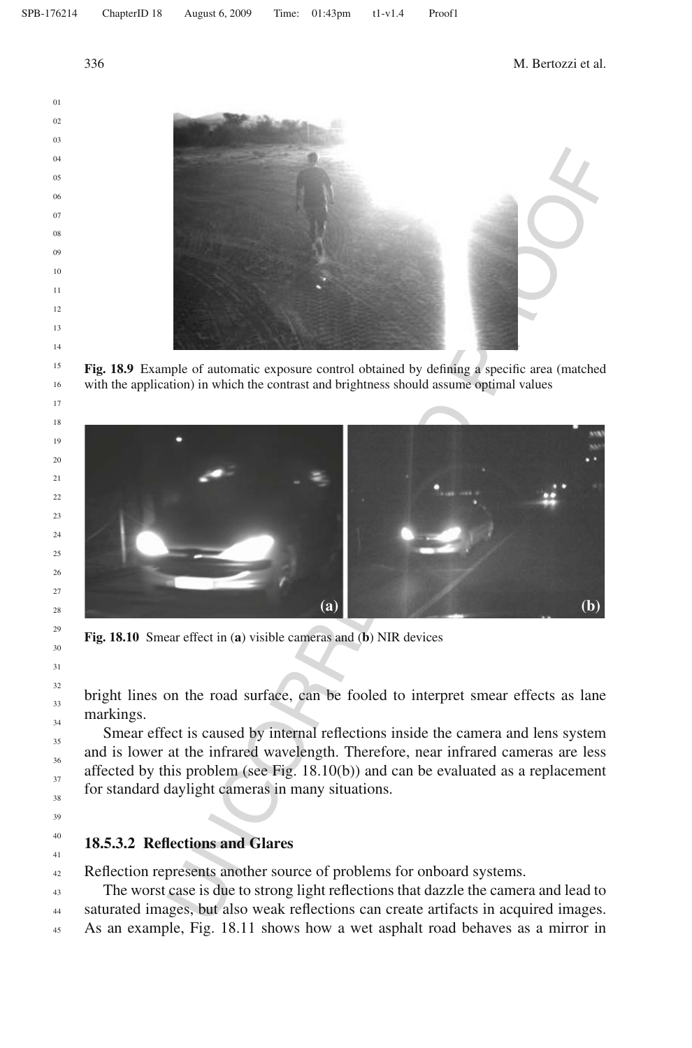

<span id="page-19-0"></span>**Fig. 18.9** Example of automatic exposure control obtained by defining a specific area (matched with the application) in which the contrast and brightness should assume optimal values



**Fig. 18.10** Smear effect in (**a**) visible cameras and (**b**) NIR devices

<span id="page-19-1"></span>bright lines on the road surface, can be fooled to interpret smear effects as lane markings.

Smear effect is caused by internal reflections inside the camera and lens system and is lower at the infrared wavelength. Therefore, near infrared cameras are less affected by this problem (see Fig. 18.10(b)) and can be evaluated as a replacement for standard daylight cameras in many situations.

### **18.5.3.2 Reflections and Glares**

 Reflection represents another source of problems for onboard systems.

 The worst case is due to strong light reflections that dazzle the camera and lead to

 saturated images, but also weak reflections can create artifacts in acquired images.

 As an example, Fig. [18.11](#page-20-0) shows how a wet asphalt road behaves as a mirror in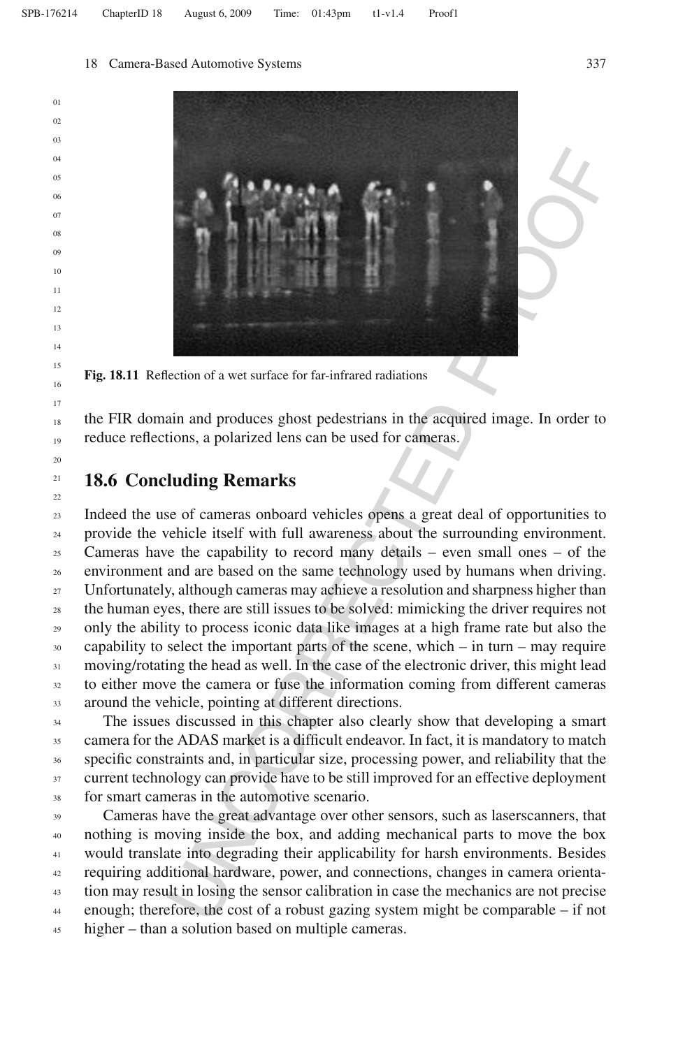

**Fig. 18.11** Reflection of a wet surface for far-infrared radiations

<span id="page-20-0"></span>the FIR domain and produces ghost pedestrians in the acquired image. In order to reduce reflections, a polarized lens can be used for cameras.

#### **18.6 Concluding Remarks**

23 24  $25$ 26  $27$ 28 29 30 31 32 33 Indeed the use of cameras onboard vehicles opens a great deal of opportunities to provide the vehicle itself with full awareness about the surrounding environment. Cameras have the capability to record many details – even small ones – of the environment and are based on the same technology used by humans when driving. Unfortunately, although cameras may achieve a resolution and sharpness higher than the human eyes, there are still issues to be solved: mimicking the driver requires not only the ability to process iconic data like images at a high frame rate but also the capability to select the important parts of the scene, which – in turn – may require moving/rotating the head as well. In the case of the electronic driver, this might lead to either move the camera or fuse the information coming from different cameras around the vehicle, pointing at different directions.

34 35 36 37 38 The issues discussed in this chapter also clearly show that developing a smart camera for the ADAS market is a difficult endeavor. In fact, it is mandatory to match specific constraints and, in particular size, processing power, and reliability that the current technology can provide have to be still improved for an effective deployment for smart cameras in the automotive scenario.

39 40 41 42 43 44 45 Cameras have the great advantage over other sensors, such as laserscanners, that nothing is moving inside the box, and adding mechanical parts to move the box would translate into degrading their applicability for harsh environments. Besides requiring additional hardware, power, and connections, changes in camera orientation may result in losing the sensor calibration in case the mechanics are not precise enough; therefore, the cost of a robust gazing system might be comparable – if not higher – than a solution based on multiple cameras.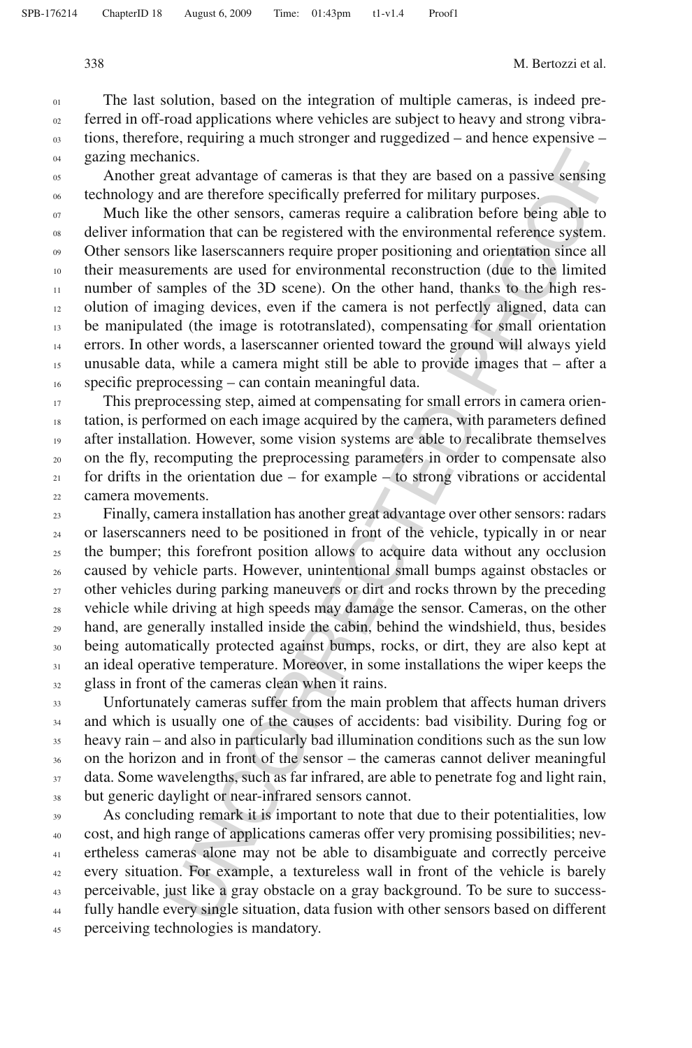#### 338 M. Bertozzi et al.

 $01$  $02$ 03 04 The last solution, based on the integration of multiple cameras, is indeed preferred in off-road applications where vehicles are subject to heavy and strong vibrations, therefore, requiring a much stronger and ruggedized – and hence expensive – gazing mechanics.

05 06 Another great advantage of cameras is that they are based on a passive sensing technology and are therefore specifically preferred for military purposes.

07 08 09 10 11 12 13 14 15 16 Much like the other sensors, cameras require a calibration before being able to deliver information that can be registered with the environmental reference system. Other sensors like laserscanners require proper positioning and orientation since all their measurements are used for environmental reconstruction (due to the limited number of samples of the 3D scene). On the other hand, thanks to the high resolution of imaging devices, even if the camera is not perfectly aligned, data can be manipulated (the image is rototranslated), compensating for small orientation errors. In other words, a laserscanner oriented toward the ground will always yield unusable data, while a camera might still be able to provide images that – after a specific preprocessing – can contain meaningful data.

17 18 19  $20$ 21  $22$ This preprocessing step, aimed at compensating for small errors in camera orientation, is performed on each image acquired by the camera, with parameters defined after installation. However, some vision systems are able to recalibrate themselves on the fly, recomputing the preprocessing parameters in order to compensate also for drifts in the orientation due – for example – to strong vibrations or accidental camera movements.

nics.<br>
mics.<br>
recat advantage of cameras is that they are based on a passive sensing<br>
reat advantage of cameras igouitre adibitation before being able to<br>
the other sensors, cameras require a calibration before being able 23  $^{24}$  $25$ 26  $27$ 28 29 30 31 32 Finally, camera installation has another great advantage over other sensors: radars or laserscanners need to be positioned in front of the vehicle, typically in or near the bumper; this forefront position allows to acquire data without any occlusion caused by vehicle parts. However, unintentional small bumps against obstacles or other vehicles during parking maneuvers or dirt and rocks thrown by the preceding vehicle while driving at high speeds may damage the sensor. Cameras, on the other hand, are generally installed inside the cabin, behind the windshield, thus, besides being automatically protected against bumps, rocks, or dirt, they are also kept at an ideal operative temperature. Moreover, in some installations the wiper keeps the glass in front of the cameras clean when it rains.

33 34 35 36 37 38 Unfortunately cameras suffer from the main problem that affects human drivers and which is usually one of the causes of accidents: bad visibility. During fog or heavy rain – and also in particularly bad illumination conditions such as the sun low on the horizon and in front of the sensor – the cameras cannot deliver meaningful data. Some wavelengths, such as far infrared, are able to penetrate fog and light rain, but generic daylight or near-infrared sensors cannot.

39 40 41 42 43 44 45 As concluding remark it is important to note that due to their potentialities, low cost, and high range of applications cameras offer very promising possibilities; nevertheless cameras alone may not be able to disambiguate and correctly perceive every situation. For example, a textureless wall in front of the vehicle is barely perceivable, just like a gray obstacle on a gray background. To be sure to successfully handle every single situation, data fusion with other sensors based on different perceiving technologies is mandatory.